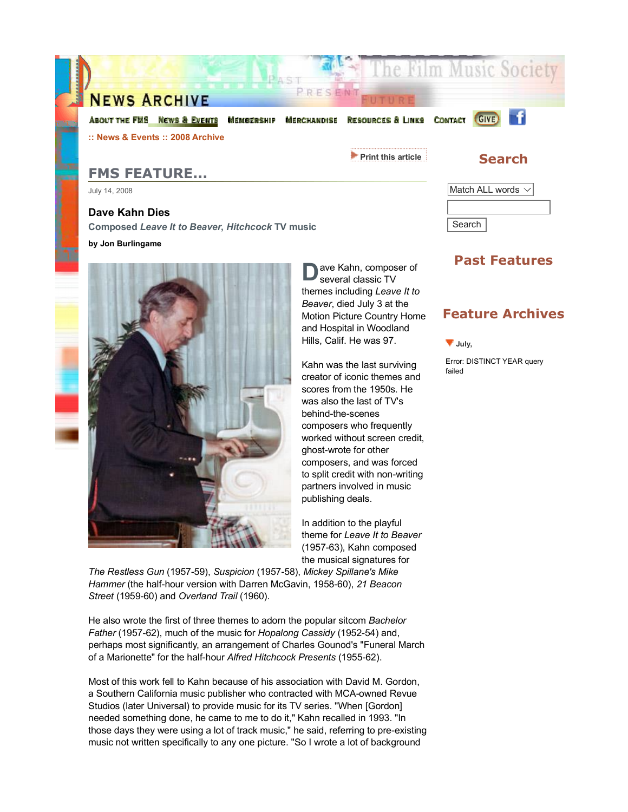

# **FMS FEATURE...**

July 14, 2008

## **Dave Kahn Dies**

**Composed** *Leave It to Beaver***,** *Hitchcock* **TV music**

#### **by Jon Burlingame**



**D** ave Kahn, composer of several classic TV themes including *Leave It to Beaver*, died July 3 at the Motion Picture Country Home and Hospital in Woodland Hills, Calif. He was 97.

Kahn was the last surviving creator of iconic themes and scores from the 1950s. He was also the last of TV's behind-the-scenes composers who frequently worked without screen credit, ghost-wrote for other composers, and was forced to split credit with non-writing partners involved in music publishing deals.

In addition to the playful theme for *Leave It to Beaver* (1957-63), Kahn composed the musical signatures for

*The Restless Gun* (1957-59), *Suspicion* (1957-58), *Mickey Spillane's Mike Hammer* (the half-hour version with Darren McGavin, 1958-60), *21 Beacon Street* (1959-60) and *Overland Trail* (1960).

He also wrote the first of three themes to adorn the popular sitcom *Bachelor Father* (1957-62), much of the music for *Hopalong Cassidy* (1952-54) and, perhaps most significantly, an arrangement of Charles Gounod's "Funeral March of a Marionette" for the half-hour *Alfred Hitchcock Presents* (1955-62).

Most of this work fell to Kahn because of his association with David M. Gordon, a Southern California music publisher who contracted with MCA-owned Revue Studios (later Universal) to provide music for its TV series. "When [Gordon] needed something done, he came to me to do it," Kahn recalled in 1993. "In those days they were using a lot of track music," he said, referring to pre-existing music not written specifically to any one picture. "So I wrote a lot of background

## **Past Features**

Match ALL words  $\vee$ 

Search

### **Feature Archives**

**July,** 

Error: DISTINCT YEAR query failed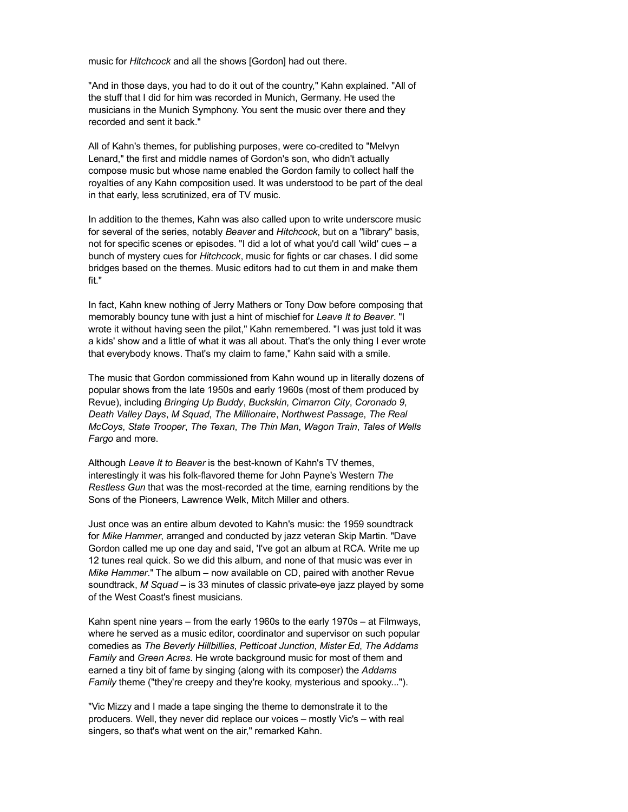music for *Hitchcock* and all the shows [Gordon] had out there.

"And in those days, you had to do it out of the country," Kahn explained. "All of the stuff that I did for him was recorded in Munich, Germany. He used the musicians in the Munich Symphony. You sent the music over there and they recorded and sent it back."

All of Kahn's themes, for publishing purposes, were co-credited to "Melvyn Lenard," the first and middle names of Gordon's son, who didn't actually compose music but whose name enabled the Gordon family to collect half the royalties of any Kahn composition used. It was understood to be part of the deal in that early, less scrutinized, era of TV music.

In addition to the themes, Kahn was also called upon to write underscore music for several of the series, notably *Beaver* and *Hitchcock*, but on a "library" basis, not for specific scenes or episodes. "I did a lot of what you'd call 'wild' cues – a bunch of mystery cues for *Hitchcock*, music for fights or car chases. I did some bridges based on the themes. Music editors had to cut them in and make them fit."

In fact, Kahn knew nothing of Jerry Mathers or Tony Dow before composing that memorably bouncy tune with just a hint of mischief for *Leave It to Beaver*. "I wrote it without having seen the pilot," Kahn remembered. "I was just told it was a kids' show and a little of what it was all about. That's the only thing I ever wrote that everybody knows. That's my claim to fame," Kahn said with a smile.

The music that Gordon commissioned from Kahn wound up in literally dozens of popular shows from the late 1950s and early 1960s (most of them produced by Revue), including *Bringing Up Buddy*, *Buckskin*, *Cimarron City*, *Coronado 9*, *Death Valley Days*, *M Squad*, *The Millionaire*, *Northwest Passage*, *The Real McCoys*, *State Trooper*, *The Texan*, *The Thin Man*, *Wagon Train*, *Tales of Wells Fargo* and more.

Although *Leave It to Beaver* is the best-known of Kahn's TV themes, interestingly it was his folk-flavored theme for John Payne's Western *The Restless Gun* that was the most-recorded at the time, earning renditions by the Sons of the Pioneers, Lawrence Welk, Mitch Miller and others.

Just once was an entire album devoted to Kahn's music: the 1959 soundtrack for *Mike Hammer*, arranged and conducted by jazz veteran Skip Martin. "Dave Gordon called me up one day and said, 'I've got an album at RCA. Write me up 12 tunes real quick. So we did this album, and none of that music was ever in *Mike Hammer*." The album – now available on CD, paired with another Revue soundtrack, *M Squad* – is 33 minutes of classic private-eye jazz played by some of the West Coast's finest musicians.

Kahn spent nine years – from the early 1960s to the early 1970s – at Filmways, where he served as a music editor, coordinator and supervisor on such popular comedies as *The Beverly Hillbillies*, *Petticoat Junction*, *Mister Ed*, *The Addams Family* and *Green Acres*. He wrote background music for most of them and earned a tiny bit of fame by singing (along with its composer) the *Addams Family* theme ("they're creepy and they're kooky, mysterious and spooky...").

"Vic Mizzy and I made a tape singing the theme to demonstrate it to the producers. Well, they never did replace our voices – mostly Vic's – with real singers, so that's what went on the air," remarked Kahn.